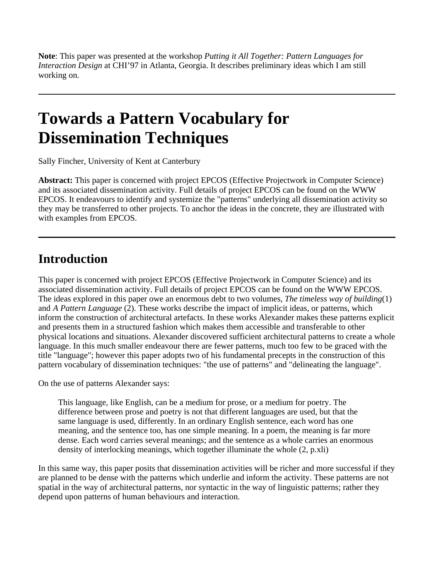**Note**: This paper was presented at the workshop *Putting it All Together: Pattern Languages for Interaction Design* at CHI'97 in Atlanta, Georgia. It describes preliminary ideas which I am still working on.

# **Towards a Pattern Vocabulary for Dissemination Techniques**

Sally Fincher, University of Kent at Canterbury

**Abstract:** This paper is concerned with project EPCOS (Effective Projectwork in Computer Science) and its associated dissemination activity. Full details of project EPCOS can be found on the WWW EPCOS. It endeavours to identify and systemize the "patterns" underlying all dissemination activity so they may be transferred to other projects. To anchor the ideas in the concrete, they are illustrated with with examples from EPCOS.

#### **Introduction**

This paper is concerned with project EPCOS (Effective Projectwork in Computer Science) and its associated dissemination activity. Full details of project EPCOS can be found on the WWW EPCOS. The ideas explored in this paper owe an enormous debt to two volumes, *The timeless way of building*(1) and *A Pattern Language* (2). These works describe the impact of implicit ideas, or patterns, which inform the construction of architectural artefacts. In these works Alexander makes these patterns explicit and presents them in a structured fashion which makes them accessible and transferable to other physical locations and situations. Alexander discovered sufficient architectural patterns to create a whole language. In this much smaller endeavour there are fewer patterns, much too few to be graced with the title "language"; however this paper adopts two of his fundamental precepts in the construction of this pattern vocabulary of dissemination techniques: "the use of patterns" and "delineating the language".

On the use of patterns Alexander says:

This language, like English, can be a medium for prose, or a medium for poetry. The difference between prose and poetry is not that different languages are used, but that the same language is used, differently. In an ordinary English sentence, each word has one meaning, and the sentence too, has one simple meaning. In a poem, the meaning is far more dense. Each word carries several meanings; and the sentence as a whole carries an enormous density of interlocking meanings, which together illuminate the whole (2, p.xli)

In this same way, this paper posits that dissemination activities will be richer and more successful if they are planned to be dense with the patterns which underlie and inform the activity. These patterns are not spatial in the way of architectural patterns, nor syntactic in the way of linguistic patterns; rather they depend upon patterns of human behaviours and interaction.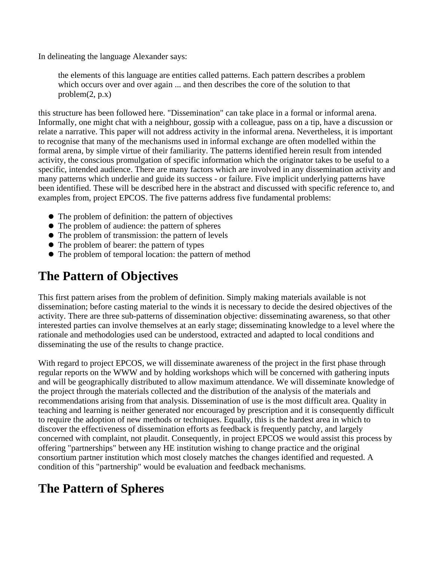In delineating the language Alexander says:

the elements of this language are entities called patterns. Each pattern describes a problem which occurs over and over again ... and then describes the core of the solution to that  $problem(2, p.x)$ 

this structure has been followed here. "Dissemination" can take place in a formal or informal arena. Informally, one might chat with a neighbour, gossip with a colleague, pass on a tip, have a discussion or relate a narrative. This paper will not address activity in the informal arena. Nevertheless, it is important to recognise that many of the mechanisms used in informal exchange are often modelled within the formal arena, by simple virtue of their familiarity. The patterns identified herein result from intended activity, the conscious promulgation of specific information which the originator takes to be useful to a specific, intended audience. There are many factors which are involved in any dissemination activity and many patterns which underlie and guide its success - or failure. Five implicit underlying patterns have been identified. These will be described here in the abstract and discussed with specific reference to, and examples from, project EPCOS. The five patterns address five fundamental problems:

- The problem of definition: the pattern of objectives
- The problem of audience: the pattern of spheres
- The problem of transmission: the pattern of levels
- The problem of bearer: the pattern of types
- The problem of temporal location: the pattern of method

#### **The Pattern of Objectives**

This first pattern arises from the problem of definition. Simply making materials available is not dissemination; before casting material to the winds it is necessary to decide the desired objectives of the activity. There are three sub-patterns of dissemination objective: disseminating awareness, so that other interested parties can involve themselves at an early stage; disseminating knowledge to a level where the rationale and methodologies used can be understood, extracted and adapted to local conditions and disseminating the use of the results to change practice.

With regard to project EPCOS, we will disseminate awareness of the project in the first phase through regular reports on the WWW and by holding workshops which will be concerned with gathering inputs and will be geographically distributed to allow maximum attendance. We will disseminate knowledge of the project through the materials collected and the distribution of the analysis of the materials and recommendations arising from that analysis. Dissemination of use is the most difficult area. Quality in teaching and learning is neither generated nor encouraged by prescription and it is consequently difficult to require the adoption of new methods or techniques. Equally, this is the hardest area in which to discover the effectiveness of dissemination efforts as feedback is frequently patchy, and largely concerned with complaint, not plaudit. Consequently, in project EPCOS we would assist this process by offering "partnerships" between any HE institution wishing to change practice and the original consortium partner institution which most closely matches the changes identified and requested. A condition of this "partnership" would be evaluation and feedback mechanisms.

## **The Pattern of Spheres**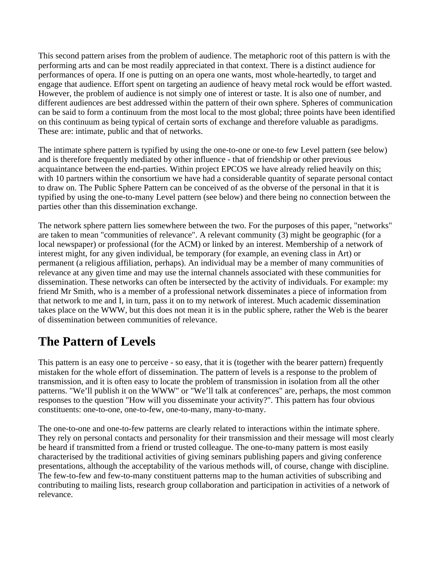This second pattern arises from the problem of audience. The metaphoric root of this pattern is with the performing arts and can be most readily appreciated in that context. There is a distinct audience for performances of opera. If one is putting on an opera one wants, most whole-heartedly, to target and engage that audience. Effort spent on targeting an audience of heavy metal rock would be effort wasted. However, the problem of audience is not simply one of interest or taste. It is also one of number, and different audiences are best addressed within the pattern of their own sphere. Spheres of communication can be said to form a continuum from the most local to the most global; three points have been identified on this continuum as being typical of certain sorts of exchange and therefore valuable as paradigms. These are: intimate, public and that of networks.

The intimate sphere pattern is typified by using the one-to-one or one-to few Level pattern (see below) and is therefore frequently mediated by other influence - that of friendship or other previous acquaintance between the end-parties. Within project EPCOS we have already relied heavily on this; with 10 partners within the consortium we have had a considerable quantity of separate personal contact to draw on. The Public Sphere Pattern can be conceived of as the obverse of the personal in that it is typified by using the one-to-many Level pattern (see below) and there being no connection between the parties other than this dissemination exchange.

The network sphere pattern lies somewhere between the two. For the purposes of this paper, "networks" are taken to mean "communities of relevance". A relevant community (3) might be geographic (for a local newspaper) or professional (for the ACM) or linked by an interest. Membership of a network of interest might, for any given individual, be temporary (for example, an evening class in Art) or permanent (a religious affiliation, perhaps). An individual may be a member of many communities of relevance at any given time and may use the internal channels associated with these communities for dissemination. These networks can often be intersected by the activity of individuals. For example: my friend Mr Smith, who is a member of a professional network disseminates a piece of information from that network to me and I, in turn, pass it on to my network of interest. Much academic dissemination takes place on the WWW, but this does not mean it is in the public sphere, rather the Web is the bearer of dissemination between communities of relevance.

#### **The Pattern of Levels**

This pattern is an easy one to perceive - so easy, that it is (together with the bearer pattern) frequently mistaken for the whole effort of dissemination. The pattern of levels is a response to the problem of transmission, and it is often easy to locate the problem of transmission in isolation from all the other patterns. "We'll publish it on the WWW" or "We'll talk at conferences" are, perhaps, the most common responses to the question "How will you disseminate your activity?". This pattern has four obvious constituents: one-to-one, one-to-few, one-to-many, many-to-many.

The one-to-one and one-to-few patterns are clearly related to interactions within the intimate sphere. They rely on personal contacts and personality for their transmission and their message will most clearly be heard if transmitted from a friend or trusted colleague. The one-to-many pattern is most easily characterised by the traditional activities of giving seminars publishing papers and giving conference presentations, although the acceptability of the various methods will, of course, change with discipline. The few-to-few and few-to-many constituent patterns map to the human activities of subscribing and contributing to mailing lists, research group collaboration and participation in activities of a network of relevance.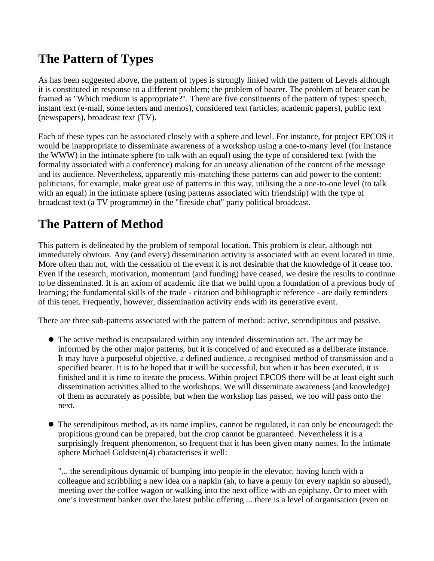#### **The Pattern of Types**

As has been suggested above, the pattern of types is strongly linked with the pattern of Levels although it is constituted in response to a different problem; the problem of bearer. The problem of bearer can be framed as "Which medium is appropriate?". There are five constituents of the pattern of types: speech, instant text (e-mail, some letters and memos), considered text (articles, academic papers), public text (newspapers), broadcast text (TV).

Each of these types can be associated closely with a sphere and level. For instance, for project EPCOS it would be inappropriate to disseminate awareness of a workshop using a one-to-many level (for instance the WWW) in the intimate sphere (to talk with an equal) using the type of considered text (with the formality associated with a conference) making for an uneasy alienation of the content of the message and its audience. Nevertheless, apparently mis-matching these patterns can add power to the content: politicians, for example, make great use of patterns in this way, utilising the a one-to-one level (to talk with an equal) in the intimate sphere (using patterns associated with friendship) with the type of broadcast text (a TV programme) in the "fireside chat" party political broadcast.

#### **The Pattern of Method**

This pattern is delineated by the problem of temporal location. This problem is clear, although not immediately obvious. Any (and every) dissemination activity is associated with an event located in time. More often than not, with the cessation of the event it is not desirable that the knowledge of it cease too. Even if the research, motivation, momentum (and funding) have ceased, we desire the results to continue to be disseminated. It is an axiom of academic life that we build upon a foundation of a previous body of learning; the fundamental skills of the trade - citation and bibliographic reference - are daily reminders of this tenet. Frequently, however, dissemination activity ends with its generative event.

There are three sub-patterns associated with the pattern of method: active, serendipitous and passive.

- The active method is encapsulated within any intended dissemination act. The act may be informed by the other major patterns, but it is conceived of and executed as a deliberate instance. It may have a purposeful objective, a defined audience, a recognised method of transmission and a specified bearer. It is to be hoped that it will be successful, but when it has been executed, it is finished and it is time to iterate the process. Within project EPCOS there will be at least eight such dissemination activities allied to the workshops. We will disseminate awareness (and knowledge) of them as accurately as possible, but when the workshop has passed, we too will pass onto the next.
- The serendipitous method, as its name implies, cannot be regulated, it can only be encouraged: the propitious ground can be prepared, but the crop cannot be guaranteed. Nevertheless it is a surprisingly frequent phenomenon, so frequent that it has been given many names. In the intimate sphere Michael Goldstein(4) characterises it well:

"... the serendipitous dynamic of bumping into people in the elevator, having lunch with a colleague and scribbling a new idea on a napkin (ah, to have a penny for every napkin so abused), meeting over the coffee wagon or walking into the next office with an epiphany. Or to meet with one's investment banker over the latest public offering ... there is a level of organisation (even on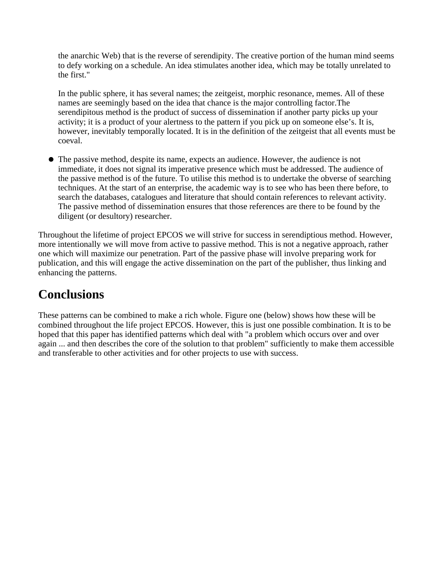the anarchic Web) that is the reverse of serendipity. The creative portion of the human mind seems to defy working on a schedule. An idea stimulates another idea, which may be totally unrelated to the first."

In the public sphere, it has several names; the zeitgeist, morphic resonance, memes. All of these names are seemingly based on the idea that chance is the major controlling factor.The serendipitous method is the product of success of dissemination if another party picks up your activity; it is a product of your alertness to the pattern if you pick up on someone else's. It is, however, inevitably temporally located. It is in the definition of the zeitgeist that all events must be coeval.

The passive method, despite its name, expects an audience. However, the audience is not immediate, it does not signal its imperative presence which must be addressed. The audience of the passive method is of the future. To utilise this method is to undertake the obverse of searching techniques. At the start of an enterprise, the academic way is to see who has been there before, to search the databases, catalogues and literature that should contain references to relevant activity. The passive method of dissemination ensures that those references are there to be found by the diligent (or desultory) researcher.

Throughout the lifetime of project EPCOS we will strive for success in serendiptious method. However, more intentionally we will move from active to passive method. This is not a negative approach, rather one which will maximize our penetration. Part of the passive phase will involve preparing work for publication, and this will engage the active dissemination on the part of the publisher, thus linking and enhancing the patterns.

#### **Conclusions**

These patterns can be combined to make a rich whole. Figure one (below) shows how these will be combined throughout the life project EPCOS. However, this is just one possible combination. It is to be hoped that this paper has identified patterns which deal with "a problem which occurs over and over again ... and then describes the core of the solution to that problem" sufficiently to make them accessible and transferable to other activities and for other projects to use with success.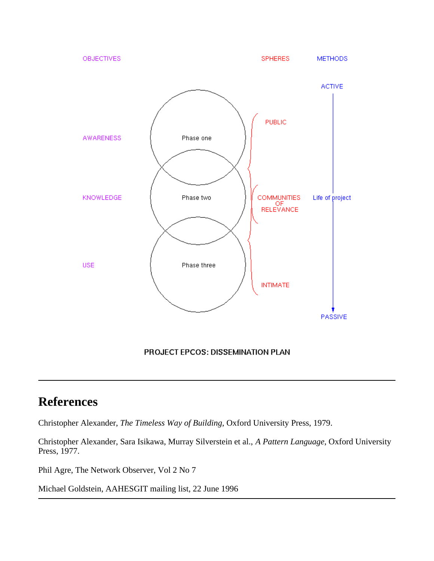

### **References**

Christopher Alexander, *The Timeless Way of Building*, Oxford University Press, 1979.

Christopher Alexander, Sara Isikawa, Murray Silverstein et al., *A Pattern Language*, Oxford University Press, 1977.

Phil Agre, The Network Observer, Vol 2 No 7

Michael Goldstein, AAHESGIT mailing list, 22 June 1996